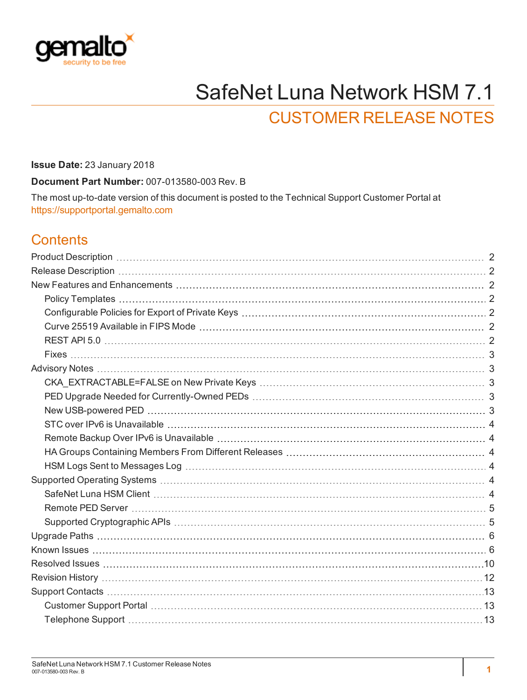

# SafeNet Luna Network HSM 7.1

# CUSTOMER RELEASE NOTES

**Issue Date:** 23 January 2018

**Document Part Number:** 007-013580-003 Rev. B

The most up-to-date version of this document is posted to the Technical Support Customer Portal at [https://supportportal.gemalto.com](https://supportportal.gemalto.com/)

#### **Contents**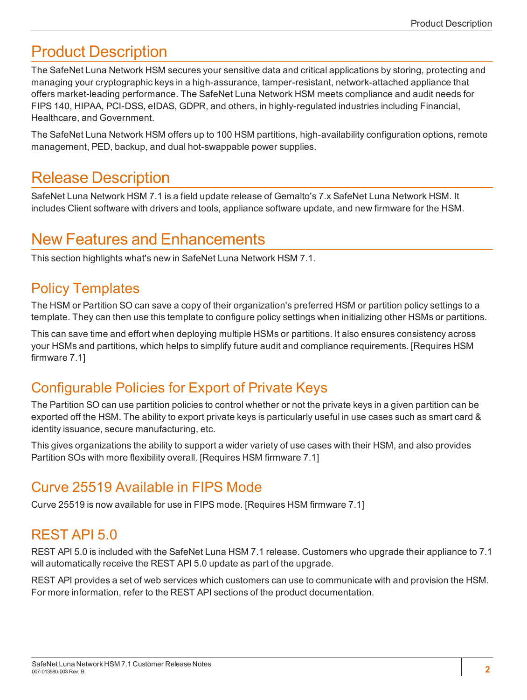# <span id="page-1-0"></span>Product Description

The SafeNet Luna Network HSM secures your sensitive data and critical applications by storing, protecting and managing your cryptographic keys in a high-assurance, tamper-resistant, network-attached appliance that offers market-leading performance. The SafeNet Luna Network HSM meets compliance and audit needs for FIPS 140, HIPAA, PCI-DSS, eIDAS, GDPR, and others, in highly-regulated industries including Financial, Healthcare, and Government.

The SafeNet Luna Network HSM offers up to 100 HSM partitions, high-availability configuration options, remote management, PED, backup, and dual hot-swappable power supplies.

## <span id="page-1-1"></span>Release Description

SafeNet Luna Network HSM 7.1 is a field update release of Gemalto's 7.x SafeNet Luna Network HSM. It includes Client software with drivers and tools, appliance software update, and new firmware for the HSM.

### <span id="page-1-2"></span>New Features and Enhancements

<span id="page-1-3"></span>This section highlights what's new in SafeNet Luna Network HSM 7.1.

#### Policy Templates

The HSM or Partition SO can save a copy of their organization's preferred HSM or partition policy settings to a template. They can then use this template to configure policy settings when initializing other HSMs or partitions.

This can save time and effort when deploying multiple HSMs or partitions. It also ensures consistency across your HSMs and partitions, which helps to simplify future audit and compliance requirements. [Requires HSM firmware 7.1]

#### <span id="page-1-4"></span>Configurable Policies for Export of Private Keys

The Partition SO can use partition policies to control whether or not the private keys in a given partition can be exported off the HSM. The ability to export private keys is particularly useful in use cases such as smart card & identity issuance, secure manufacturing, etc.

This gives organizations the ability to support a wider variety of use cases with their HSM, and also provides Partition SOs with more flexibility overall. [Requires HSM firmware 7.1]

#### <span id="page-1-5"></span>Curve 25519 Available in FIPS Mode

<span id="page-1-6"></span>Curve 25519 is now available for use in FIPS mode. [Requires HSM firmware 7.1]

#### REST API 5.0

REST API 5.0 is included with the SafeNet Luna HSM 7.1 release. Customers who upgrade their appliance to 7.1 will automatically receive the REST API 5.0 update as part of the upgrade.

REST API provides a set of web services which customers can use to communicate with and provision the HSM. For more information, refer to the REST API sections of the product documentation.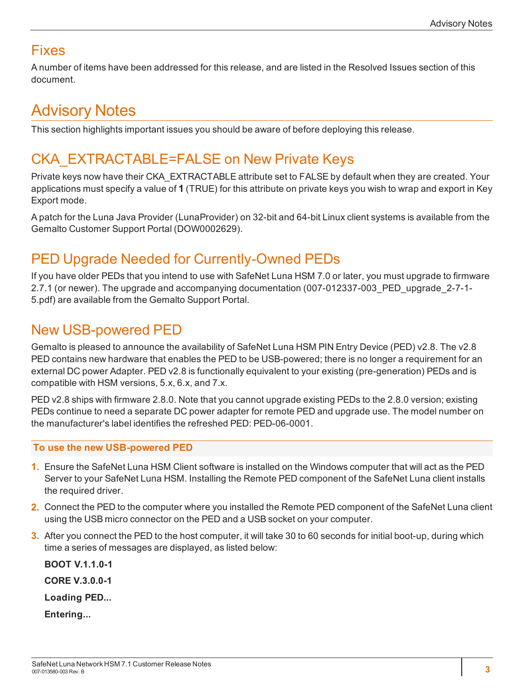#### <span id="page-2-0"></span>Fixes

<span id="page-2-1"></span>A number of items have been addressed for this release, and are listed in the Resolved Issues section of this document.

# Advisory Notes

<span id="page-2-2"></span>This section highlights important issues you should be aware of before deploying this release.

## CKA\_EXTRACTABLE=FALSE on New Private Keys

Private keys now have their CKA\_EXTRACTABLE attribute set to FALSE by default when they are created. Your applications must specify a value of **1** (TRUE) for this attribute on private keys you wish to wrap and export in Key Export mode.

A patch for the Luna Java Provider (LunaProvider) on 32-bit and 64-bit Linux client systems is available from the Gemalto Customer Support Portal (DOW0002629).

### <span id="page-2-3"></span>PED Upgrade Needed for Currently-Owned PEDs

If you have older PEDs that you intend to use with SafeNet Luna HSM 7.0 or later, you must upgrade to firmware 2.7.1 (or newer). The upgrade and accompanying documentation (007-012337-003\_PED\_upgrade\_2-7-1- 5.pdf) are available from the Gemalto Support Portal.

#### <span id="page-2-4"></span>New USB-powered PED

Gemalto is pleased to announce the availability of SafeNet Luna HSM PIN Entry Device (PED) v2.8. The v2.8 PED contains new hardware that enables the PED to be USB-powered; there is no longer a requirement for an external DC power Adapter. PED v2.8 is functionally equivalent to your existing (pre-generation) PEDs and is compatible with HSM versions, 5.x, 6.x, and 7.x.

PED v2.8 ships with firmware 2.8.0. Note that you cannot upgrade existing PEDs to the 2.8.0 version; existing PEDs continue to need a separate DC power adapter for remote PED and upgrade use. The model number on the manufacturer's label identifies the refreshed PED: PED-06-0001.

#### **To use the new USB-powered PED**

- **1.** Ensure the SafeNet Luna HSM Client software is installed on the Windows computer that will act as the PED Server to your SafeNet Luna HSM. Installing the Remote PED component of the SafeNet Luna client installs the required driver.
- **2.** Connect the PED to the computer where you installed the Remote PED component of the SafeNet Luna client using the USB micro connector on the PED and a USB socket on your computer.
- **3.** After you connect the PED to the host computer, it will take 30 to 60 seconds for initial boot-up, during which time a series of messages are displayed, as listed below:

**BOOT V.1.1.0-1 CORE V.3.0.0-1 Loading PED... Entering...**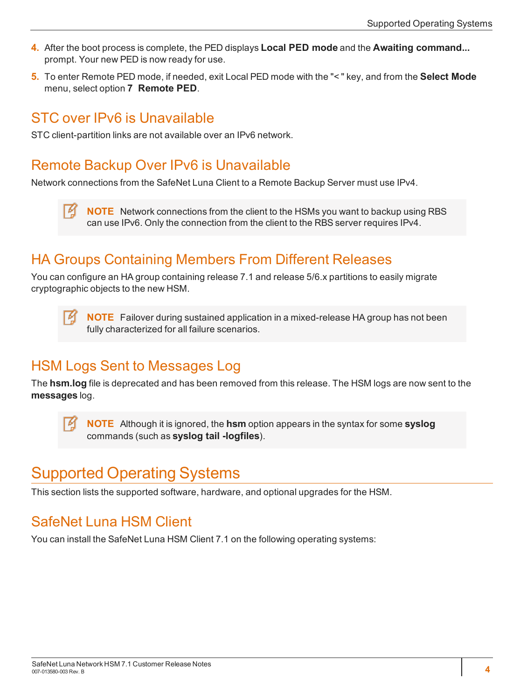- **4.** After the boot process is complete, the PED displays **Local PED mode** and the **Awaiting command...** prompt. Your new PED is now ready for use.
- **5.** To enter Remote PED mode, if needed, exit Local PED mode with the "< " key, and from the **Select Mode** menu, select option **7 Remote PED**.

#### <span id="page-3-0"></span>STC over IPv6 is Unavailable

<span id="page-3-1"></span>STC client-partition links are not available over an IPv6 network.

#### Remote Backup Over IPv6 is Unavailable

Network connections from the SafeNet Luna Client to a Remote Backup Server must use IPv4.

**NOTE** Network connections from the client to the HSMs you want to backup using RBS can use IPv6. Only the connection from the client to the RBS server requires IPv4.

#### <span id="page-3-2"></span>HA Groups Containing Members From Different Releases

You can configure an HA group containing release 7.1 and release 5/6.x partitions to easily migrate cryptographic objects to the new HSM.

**NOTE** Failover during sustained application in a mixed-release HA group has not been fully characterized for all failure scenarios.

#### <span id="page-3-3"></span>HSM Logs Sent to Messages Log

The **hsm.log** file is deprecated and has been removed from this release. The HSM logs are now sent to the **messages** log.

**NOTE** Although it is ignored, the **hsm** option appears in the syntax for some **syslog** commands (such as **syslog tail -logfiles**).

# <span id="page-3-4"></span>Supported Operating Systems

<span id="page-3-5"></span>This section lists the supported software, hardware, and optional upgrades for the HSM.

### SafeNet Luna HSM Client

You can install the SafeNet Luna HSM Client 7.1 on the following operating systems: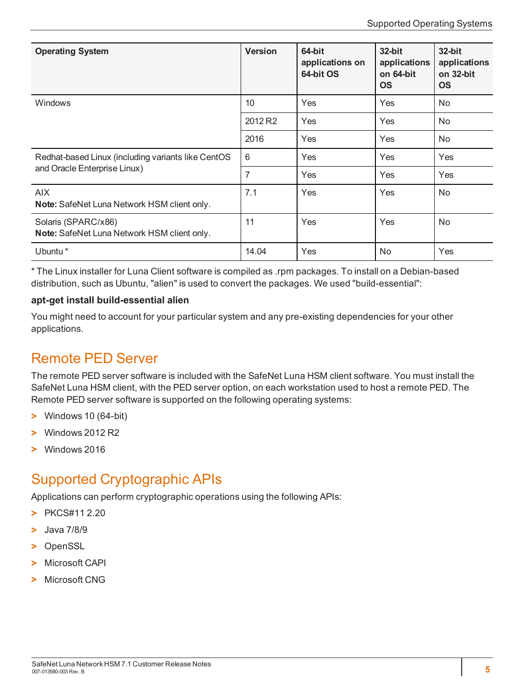| <b>Operating System</b>                                            | <b>Version</b>      | 64-bit<br>applications on<br>64-bit OS | $32$ -bit<br>applications<br>on 64-bit<br><b>OS</b> | 32-bit<br>applications<br>on 32-bit<br><b>OS</b> |
|--------------------------------------------------------------------|---------------------|----------------------------------------|-----------------------------------------------------|--------------------------------------------------|
| Windows                                                            | 10                  | Yes                                    | Yes                                                 | No                                               |
|                                                                    | 2012 R <sub>2</sub> | Yes                                    | Yes                                                 | No.                                              |
|                                                                    | 2016                | Yes                                    | Yes                                                 | No.                                              |
| Redhat-based Linux (including variants like CentOS                 | 6                   | Yes                                    | Yes                                                 | Yes                                              |
| and Oracle Enterprise Linux)                                       | 7                   | Yes                                    | Yes                                                 | Yes                                              |
| <b>AIX</b><br>Note: SafeNet Luna Network HSM client only.          | 7.1                 | Yes                                    | Yes                                                 | No                                               |
| Solaris (SPARC/x86)<br>Note: SafeNet Luna Network HSM client only. | 11                  | Yes                                    | Yes                                                 | No                                               |
| Ubuntu *                                                           | 14.04               | Yes                                    | No.                                                 | Yes                                              |

\* The Linux installer for Luna Client software is compiled as .rpm packages. To install on a Debian-based distribution, such as Ubuntu, "alien" is used to convert the packages. We used "build-essential":

#### **apt-get install build-essential alien**

You might need to account for your particular system and any pre-existing dependencies for your other applications.

#### <span id="page-4-0"></span>Remote PED Server

The remote PED server software is included with the SafeNet Luna HSM client software. You must install the SafeNet Luna HSM client, with the PED server option, on each workstation used to host a remote PED. The Remote PED server software is supported on the following operating systems:

- **>** Windows 10 (64-bit)
- **>** Windows 2012 R2
- <span id="page-4-1"></span>**>** Windows 2016

#### Supported Cryptographic APIs

Applications can perform cryptographic operations using the following APIs:

- **>** PKCS#11 2.20
- **>** Java 7/8/9
- **>** OpenSSL
- **>** Microsoft CAPI
- **>** Microsoft CNG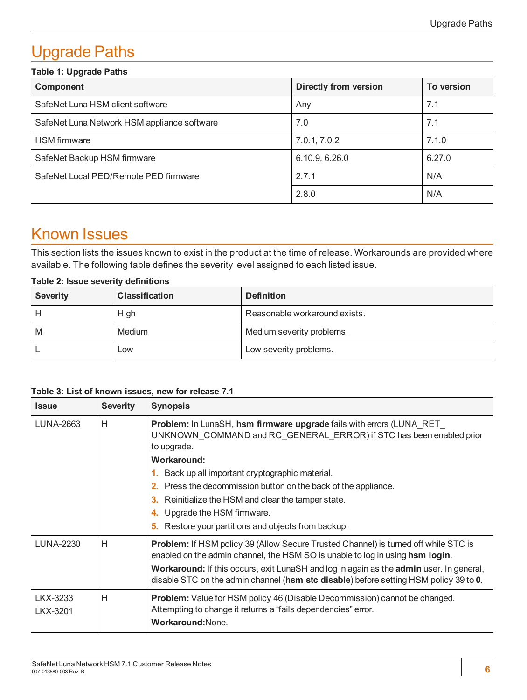# <span id="page-5-0"></span>Upgrade Paths

| <b>Table 1: Upgrade Paths</b>               |                       |            |  |
|---------------------------------------------|-----------------------|------------|--|
| Component                                   | Directly from version | To version |  |
| SafeNet Luna HSM client software            | Any                   | 7.1        |  |
| SafeNet Luna Network HSM appliance software | 7.0                   | 7.1        |  |
| <b>HSM</b> firmware                         | 7.0.1, 7.0.2          | 7.1.0      |  |
| SafeNet Backup HSM firmware                 | 6.10.9, 6.26.0        | 6.27.0     |  |
| SafeNet Local PED/Remote PED firmware       | 2.7.1                 | N/A        |  |
|                                             | 2.8.0                 | N/A        |  |

# <span id="page-5-1"></span>Known Issues

This section lists the issues known to exist in the product at the time of release. Workarounds are provided where available. The following table defines the severity level assigned to each listed issue.

| Table 2: Issue severity definitions |
|-------------------------------------|
|-------------------------------------|

| <b>Severity</b> | <b>Classification</b> | <b>Definition</b>             |
|-----------------|-----------------------|-------------------------------|
|                 | <b>High</b>           | Reasonable workaround exists. |
| M               | Medium                | Medium severity problems.     |
|                 | Low                   | Low severity problems.        |

| Table 3: List of known issues, new for release 7.1 |  |  |
|----------------------------------------------------|--|--|
|----------------------------------------------------|--|--|

| <b>Issue</b>     | <b>Severity</b> | <b>Synopsis</b>                                                                                                                                                                                                                                                 |
|------------------|-----------------|-----------------------------------------------------------------------------------------------------------------------------------------------------------------------------------------------------------------------------------------------------------------|
| <b>LUNA-2663</b> | H               | Problem: In LunaSH, hsm firmware upgrade fails with errors (LUNA RET<br>UNKNOWN COMMAND and RC GENERAL ERROR) if STC has been enabled prior<br>to upgrade.                                                                                                      |
|                  |                 | Workaround:                                                                                                                                                                                                                                                     |
|                  |                 | Back up all important cryptographic material.                                                                                                                                                                                                                   |
|                  |                 | Press the decommission button on the back of the appliance.<br>2.                                                                                                                                                                                               |
|                  |                 | Reinitialize the HSM and clear the tamper state.<br>3.                                                                                                                                                                                                          |
|                  |                 | 4. Upgrade the HSM firmware.                                                                                                                                                                                                                                    |
|                  |                 | Restore your partitions and objects from backup.<br>5.                                                                                                                                                                                                          |
| <b>LUNA-2230</b> | H               | Problem: If HSM policy 39 (Allow Secure Trusted Channel) is turned off while STC is<br>enabled on the admin channel, the HSM SO is unable to log in using hsm login.<br>Workaround: If this occurs, exit LunaSH and log in again as the admin user. In general, |
|                  |                 | disable STC on the admin channel (hsm stc disable) before setting HSM policy 39 to 0.                                                                                                                                                                           |
| LKX-3233         | H               | <b>Problem:</b> Value for HSM policy 46 (Disable Decommission) cannot be changed.                                                                                                                                                                               |
| LKX-3201         |                 | Attempting to change it returns a "fails dependencies" error.                                                                                                                                                                                                   |
|                  |                 | Workaround: None.                                                                                                                                                                                                                                               |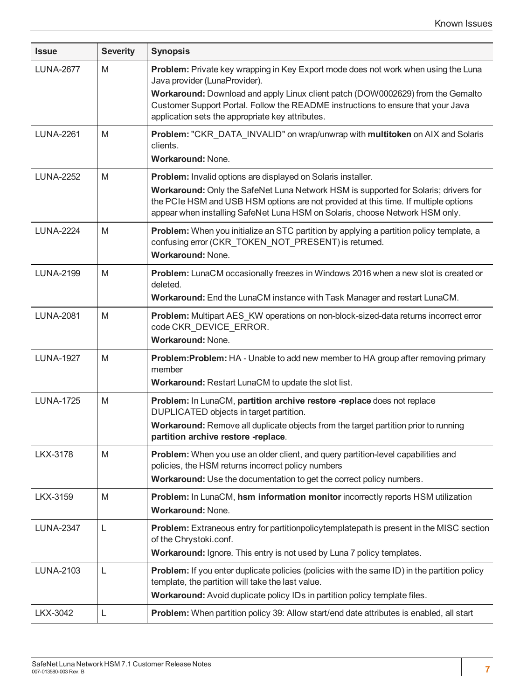| <b>Issue</b>     | <b>Severity</b> | <b>Synopsis</b>                                                                                                                                                                                                                                                                                                                                |
|------------------|-----------------|------------------------------------------------------------------------------------------------------------------------------------------------------------------------------------------------------------------------------------------------------------------------------------------------------------------------------------------------|
| <b>LUNA-2677</b> | M               | Problem: Private key wrapping in Key Export mode does not work when using the Luna<br>Java provider (LunaProvider).<br>Workaround: Download and apply Linux client patch (DOW0002629) from the Gemalto<br>Customer Support Portal. Follow the README instructions to ensure that your Java<br>application sets the appropriate key attributes. |
| <b>LUNA-2261</b> | M               | Problem: "CKR_DATA_INVALID" on wrap/unwrap with multitoken on AIX and Solaris<br>clients.<br>Workaround: None.                                                                                                                                                                                                                                 |
| <b>LUNA-2252</b> | M               | Problem: Invalid options are displayed on Solaris installer.<br>Workaround: Only the SafeNet Luna Network HSM is supported for Solaris; drivers for<br>the PCIe HSM and USB HSM options are not provided at this time. If multiple options<br>appear when installing SafeNet Luna HSM on Solaris, choose Network HSM only.                     |
| <b>LUNA-2224</b> | M               | Problem: When you initialize an STC partition by applying a partition policy template, a<br>confusing error (CKR_TOKEN_NOT_PRESENT) is returned.<br>Workaround: None.                                                                                                                                                                          |
| <b>LUNA-2199</b> | M               | Problem: LunaCM occasionally freezes in Windows 2016 when a new slot is created or<br>deleted.<br>Workaround: End the LunaCM instance with Task Manager and restart LunaCM.                                                                                                                                                                    |
| <b>LUNA-2081</b> | M               | Problem: Multipart AES_KW operations on non-block-sized-data returns incorrect error<br>code CKR_DEVICE_ERROR.<br>Workaround: None.                                                                                                                                                                                                            |
| <b>LUNA-1927</b> | M               | Problem: Problem: HA - Unable to add new member to HA group after removing primary<br>member<br>Workaround: Restart LunaCM to update the slot list.                                                                                                                                                                                            |
| <b>LUNA-1725</b> | M               | Problem: In LunaCM, partition archive restore -replace does not replace<br>DUPLICATED objects in target partition.<br>Workaround: Remove all duplicate objects from the target partition prior to running<br>partition archive restore -replace.                                                                                               |
| <b>LKX-3178</b>  | M               | Problem: When you use an older client, and query partition-level capabilities and<br>policies, the HSM returns incorrect policy numbers<br>Workaround: Use the documentation to get the correct policy numbers.                                                                                                                                |
| LKX-3159         | M               | Problem: In LunaCM, hsm information monitor incorrectly reports HSM utilization<br>Workaround: None.                                                                                                                                                                                                                                           |
| <b>LUNA-2347</b> | L               | Problem: Extraneous entry for partitionpolicytemplatepath is present in the MISC section<br>of the Chrystoki.conf.<br>Workaround: Ignore. This entry is not used by Luna 7 policy templates.                                                                                                                                                   |
| <b>LUNA-2103</b> | L               | <b>Problem:</b> If you enter duplicate policies (policies with the same ID) in the partition policy<br>template, the partition will take the last value.<br>Workaround: Avoid duplicate policy IDs in partition policy template files.                                                                                                         |
| LKX-3042         | L               | Problem: When partition policy 39: Allow start/end date attributes is enabled, all start                                                                                                                                                                                                                                                       |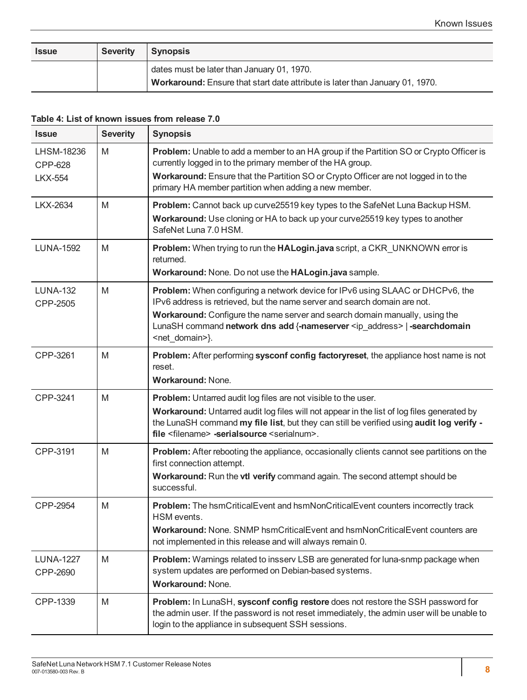| <b>Issue</b> | <b>Severity</b> | Synopsis                                                                     |
|--------------|-----------------|------------------------------------------------------------------------------|
|              |                 | dates must be later than January 01, 1970.                                   |
|              |                 | Workaround: Ensure that start date attribute is later than January 01, 1970. |

#### **Table 4: List of known issues from release 7.0**

| <b>Issue</b>                            | <b>Severity</b> | <b>Synopsis</b>                                                                                                                                                                                                                                                                                                                                                |
|-----------------------------------------|-----------------|----------------------------------------------------------------------------------------------------------------------------------------------------------------------------------------------------------------------------------------------------------------------------------------------------------------------------------------------------------------|
| LHSM-18236<br>CPP-628<br><b>LKX-554</b> | M               | Problem: Unable to add a member to an HA group if the Partition SO or Crypto Officer is<br>currently logged in to the primary member of the HA group.<br>Workaround: Ensure that the Partition SO or Crypto Officer are not logged in to the<br>primary HA member partition when adding a new member.                                                          |
| LKX-2634                                | M               | Problem: Cannot back up curve25519 key types to the SafeNet Luna Backup HSM.<br>Workaround: Use cloning or HA to back up your curve25519 key types to another<br>SafeNet Luna 7.0 HSM.                                                                                                                                                                         |
| <b>LUNA-1592</b>                        | M               | Problem: When trying to run the HALogin.java script, a CKR_UNKNOWN error is<br>returned.<br>Workaround: None. Do not use the HALogin.java sample.                                                                                                                                                                                                              |
| <b>LUNA-132</b><br>CPP-2505             | M               | Problem: When configuring a network device for IPv6 using SLAAC or DHCPv6, the<br>IPv6 address is retrieved, but the name server and search domain are not.<br>Workaround: Configure the name server and search domain manually, using the<br>LunaSH command network dns add {-nameserver <ip address="">   -searchdomain<br/><net_domain>}.</net_domain></ip> |
| CPP-3261                                | M               | Problem: After performing sysconf config factoryreset, the appliance host name is not<br>reset.<br><b>Workaround: None.</b>                                                                                                                                                                                                                                    |
| CPP-3241                                | M               | <b>Problem:</b> Untarred audit log files are not visible to the user.<br>Workaround: Untarred audit log files will not appear in the list of log files generated by<br>the LunaSH command my file list, but they can still be verified using audit log verify -<br>file <filename> -serialsource <serialnum>.</serialnum></filename>                           |
| CPP-3191                                | M               | Problem: After rebooting the appliance, occasionally clients cannot see partitions on the<br>first connection attempt.<br>Workaround: Run the vtl verify command again. The second attempt should be<br>successful.                                                                                                                                            |
| CPP-2954                                | M               | Problem: The hsmCriticalEvent and hsmNonCriticalEvent counters incorrectly track<br>HSM events.<br>Workaround: None. SNMP hsmCriticalEvent and hsmNonCriticalEvent counters are<br>not implemented in this release and will always remain 0.                                                                                                                   |
| <b>LUNA-1227</b><br>CPP-2690            | M               | Problem: Warnings related to insserv LSB are generated for luna-snmp package when<br>system updates are performed on Debian-based systems.<br>Workaround: None.                                                                                                                                                                                                |
| CPP-1339                                | M               | Problem: In LunaSH, sysconf config restore does not restore the SSH password for<br>the admin user. If the password is not reset immediately, the admin user will be unable to<br>login to the appliance in subsequent SSH sessions.                                                                                                                           |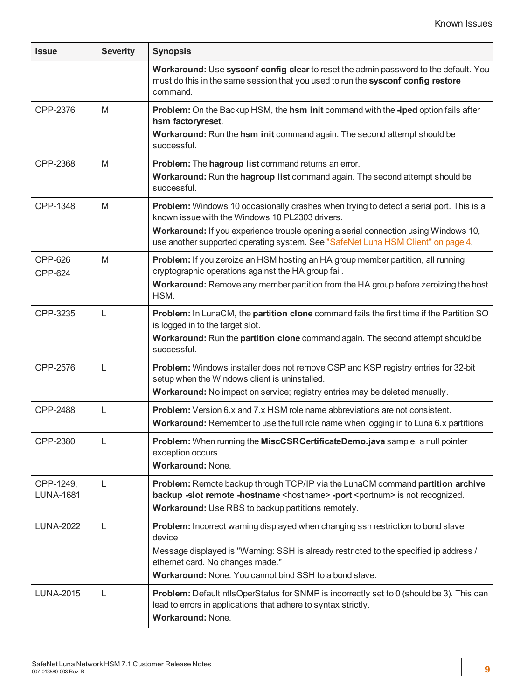| <b>Issue</b>                  | <b>Severity</b> | <b>Synopsis</b>                                                                                                                                                                                                                                                                                                              |
|-------------------------------|-----------------|------------------------------------------------------------------------------------------------------------------------------------------------------------------------------------------------------------------------------------------------------------------------------------------------------------------------------|
|                               |                 | Workaround: Use sysconf config clear to reset the admin password to the default. You<br>must do this in the same session that you used to run the sysconf config restore<br>command.                                                                                                                                         |
| CPP-2376                      | M               | Problem: On the Backup HSM, the hsm init command with the -iped option fails after<br>hsm factoryreset.<br>Workaround: Run the hsm init command again. The second attempt should be<br>successful.                                                                                                                           |
| CPP-2368                      | M               | Problem: The hagroup list command returns an error.<br>Workaround: Run the hagroup list command again. The second attempt should be<br>successful.                                                                                                                                                                           |
| CPP-1348                      | M               | <b>Problem:</b> Windows 10 occasionally crashes when trying to detect a serial port. This is a<br>known issue with the Windows 10 PL2303 drivers.<br>Workaround: If you experience trouble opening a serial connection using Windows 10,<br>use another supported operating system. See "SafeNet Luna HSM Client" on page 4. |
| CPP-626<br><b>CPP-624</b>     | M               | Problem: If you zeroize an HSM hosting an HA group member partition, all running<br>cryptographic operations against the HA group fail.<br>Workaround: Remove any member partition from the HA group before zeroizing the host<br>HSM.                                                                                       |
| CPP-3235                      | L               | Problem: In LunaCM, the partition clone command fails the first time if the Partition SO<br>is logged in to the target slot.<br>Workaround: Run the partition clone command again. The second attempt should be<br>successful.                                                                                               |
| CPP-2576                      | L               | Problem: Windows installer does not remove CSP and KSP registry entries for 32-bit<br>setup when the Windows client is uninstalled.<br>Workaround: No impact on service; registry entries may be deleted manually.                                                                                                           |
| CPP-2488                      | L               | <b>Problem:</b> Version 6.x and 7.x HSM role name abbreviations are not consistent.<br>Workaround: Remember to use the full role name when logging in to Luna 6.x partitions.                                                                                                                                                |
| CPP-2380                      | $\mathsf L$     | Problem: When running the MiscCSRCertificateDemo.java sample, a null pointer<br>exception occurs.<br><b>Workaround: None.</b>                                                                                                                                                                                                |
| CPP-1249,<br><b>LUNA-1681</b> | L               | Problem: Remote backup through TCP/IP via the LunaCM command partition archive<br>backup -slot remote -hostname <hostname> -port <portnum> is not recognized.<br/>Workaround: Use RBS to backup partitions remotely.</portnum></hostname>                                                                                    |
| <b>LUNA-2022</b>              | L               | Problem: Incorrect warning displayed when changing ssh restriction to bond slave<br>device<br>Message displayed is "Warning: SSH is already restricted to the specified ip address /<br>ethernet card. No changes made."<br>Workaround: None. You cannot bind SSH to a bond slave.                                           |
| <b>LUNA-2015</b>              | L               | <b>Problem:</b> Default ntlsOperStatus for SNMP is incorrectly set to 0 (should be 3). This can<br>lead to errors in applications that adhere to syntax strictly.<br>Workaround: None.                                                                                                                                       |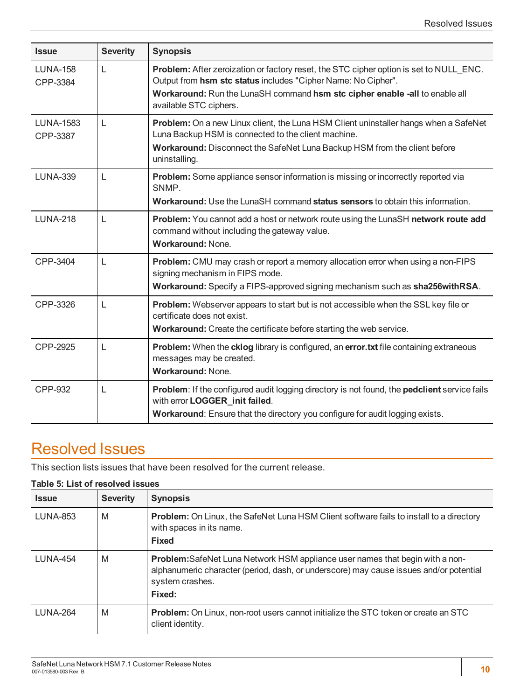| <b>Issue</b>                 | <b>Severity</b> | <b>Synopsis</b>                                                                                                                                                                                                                                                  |
|------------------------------|-----------------|------------------------------------------------------------------------------------------------------------------------------------------------------------------------------------------------------------------------------------------------------------------|
| <b>LUNA-158</b><br>CPP-3384  | L               | Problem: After zeroization or factory reset, the STC cipher option is set to NULL ENC.<br>Output from hsm stc status includes "Cipher Name: No Cipher".<br>Workaround: Run the LunaSH command hsm stc cipher enable -all to enable all<br>available STC ciphers. |
| <b>LUNA-1583</b><br>CPP-3387 | L               | Problem: On a new Linux client, the Luna HSM Client uninstaller hangs when a SafeNet<br>Luna Backup HSM is connected to the client machine.<br>Workaround: Disconnect the SafeNet Luna Backup HSM from the client before<br>uninstalling.                        |
| <b>LUNA-339</b>              | L               | Problem: Some appliance sensor information is missing or incorrectly reported via<br>SNMP.<br>Workaround: Use the LunaSH command status sensors to obtain this information.                                                                                      |
| <b>LUNA-218</b>              | L               | Problem: You cannot add a host or network route using the LunaSH network route add<br>command without including the gateway value.<br><b>Workaround: None.</b>                                                                                                   |
| CPP-3404                     | L               | Problem: CMU may crash or report a memory allocation error when using a non-FIPS<br>signing mechanism in FIPS mode.<br>Workaround: Specify a FIPS-approved signing mechanism such as sha256withRSA.                                                              |
| CPP-3326                     | L               | Problem: Webserver appears to start but is not accessible when the SSL key file or<br>certificate does not exist.<br>Workaround: Create the certificate before starting the web service.                                                                         |
| CPP-2925                     | L               | Problem: When the cklog library is configured, an error.txt file containing extraneous<br>messages may be created.<br><b>Workaround: None.</b>                                                                                                                   |
| <b>CPP-932</b>               | L               | <b>Problem:</b> If the configured audit logging directory is not found, the <b>pedclient</b> service fails<br>with error LOGGER_init failed.<br>Workaround: Ensure that the directory you configure for audit logging exists.                                    |

### <span id="page-9-0"></span>Resolved Issues

This section lists issues that have been resolved for the current release.

#### **Table 5: List of resolved issues**

| <b>Issue</b>    | <b>Severity</b> | <b>Synopsis</b>                                                                                                                                                                                             |
|-----------------|-----------------|-------------------------------------------------------------------------------------------------------------------------------------------------------------------------------------------------------------|
| <b>LUNA-853</b> | M               | <b>Problem:</b> On Linux, the SafeNet Luna HSM Client software fails to install to a directory<br>with spaces in its name.<br><b>Fixed</b>                                                                  |
| <b>LUNA-454</b> | M               | <b>Problem:</b> SafeNet Luna Network HSM appliance user names that begin with a non-<br>alphanumeric character (period, dash, or underscore) may cause issues and/or potential<br>system crashes.<br>Fixed: |
| <b>LUNA-264</b> | M               | <b>Problem:</b> On Linux, non-root users cannot initialize the STC token or create an STC<br>client identity.                                                                                               |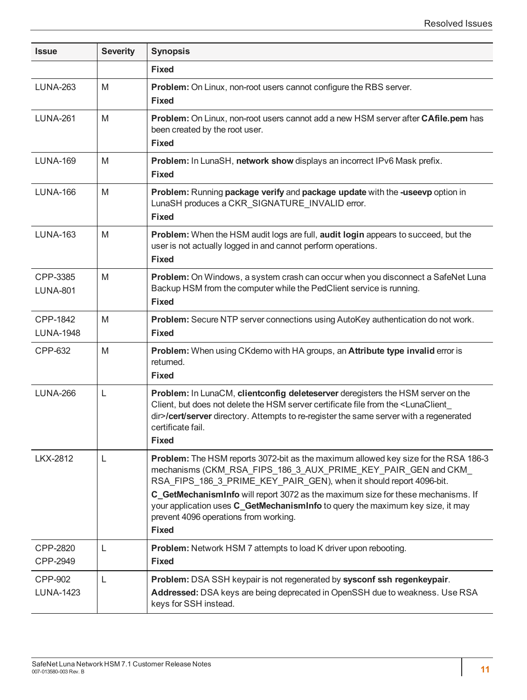| <b>Issue</b>                 | <b>Severity</b> | <b>Synopsis</b>                                                                                                                                                                                                                                                                                                         |
|------------------------------|-----------------|-------------------------------------------------------------------------------------------------------------------------------------------------------------------------------------------------------------------------------------------------------------------------------------------------------------------------|
|                              |                 | <b>Fixed</b>                                                                                                                                                                                                                                                                                                            |
| <b>LUNA-263</b>              | M               | Problem: On Linux, non-root users cannot configure the RBS server.<br><b>Fixed</b>                                                                                                                                                                                                                                      |
| <b>LUNA-261</b>              | M               | Problem: On Linux, non-root users cannot add a new HSM server after CAfile.pem has<br>been created by the root user.<br><b>Fixed</b>                                                                                                                                                                                    |
| <b>LUNA-169</b>              | M               | Problem: In LunaSH, network show displays an incorrect IPv6 Mask prefix.<br><b>Fixed</b>                                                                                                                                                                                                                                |
| <b>LUNA-166</b>              | M               | Problem: Running package verify and package update with the -useevp option in<br>LunaSH produces a CKR_SIGNATURE_INVALID error.<br><b>Fixed</b>                                                                                                                                                                         |
| <b>LUNA-163</b>              | M               | Problem: When the HSM audit logs are full, audit login appears to succeed, but the<br>user is not actually logged in and cannot perform operations.<br><b>Fixed</b>                                                                                                                                                     |
| CPP-3385<br><b>LUNA-801</b>  | M               | Problem: On Windows, a system crash can occur when you disconnect a SafeNet Luna<br>Backup HSM from the computer while the PedClient service is running.<br><b>Fixed</b>                                                                                                                                                |
| CPP-1842<br><b>LUNA-1948</b> | M               | Problem: Secure NTP server connections using AutoKey authentication do not work.<br><b>Fixed</b>                                                                                                                                                                                                                        |
| CPP-632                      | M               | Problem: When using CKdemo with HA groups, an Attribute type invalid error is<br>returned.<br><b>Fixed</b>                                                                                                                                                                                                              |
| <b>LUNA-266</b>              | L               | Problem: In LunaCM, clientconfig deleteserver deregisters the HSM server on the<br>Client, but does not delete the HSM server certificate file from the <lunaclient<br>dir&gt;/cert/server directory. Attempts to re-register the same server with a regenerated<br/>certificate fail.<br/><b>Fixed</b></lunaclient<br> |
| <b>LKX-2812</b>              | L               | Problem: The HSM reports 3072-bit as the maximum allowed key size for the RSA 186-3<br>mechanisms (CKM_RSA_FIPS_186_3_AUX_PRIME_KEY_PAIR_GEN and CKM_<br>RSA_FIPS_186_3_PRIME_KEY_PAIR_GEN), when it should report 4096-bit.                                                                                            |
|                              |                 | C_GetMechanismInfo will report 3072 as the maximum size for these mechanisms. If<br>your application uses C_GetMechanismInfo to query the maximum key size, it may<br>prevent 4096 operations from working.<br><b>Fixed</b>                                                                                             |
| CPP-2820<br>CPP-2949         | L               | Problem: Network HSM 7 attempts to load K driver upon rebooting.<br><b>Fixed</b>                                                                                                                                                                                                                                        |
| CPP-902<br><b>LUNA-1423</b>  | L               | Problem: DSA SSH keypair is not regenerated by sysconf ssh regenkeypair.<br>Addressed: DSA keys are being deprecated in OpenSSH due to weakness. Use RSA<br>keys for SSH instead.                                                                                                                                       |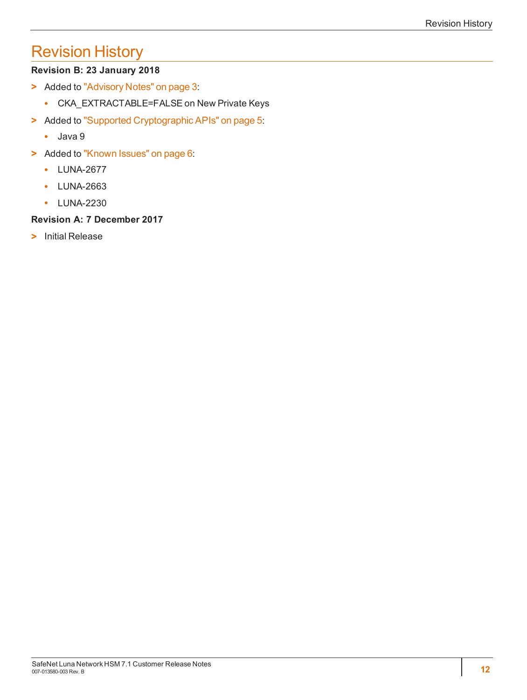# <span id="page-11-0"></span>Revision History

#### **Revision B: 23 January 2018**

- **>** Added to "Advisory [Notes" on](#page-2-1) page 3:
	- **•** CKA\_EXTRACTABLE=FALSE on New Private Keys
- **>** Added to "Supported [Cryptographic](#page-4-1) APIs" on page 5:
	- **•** Java 9
- **>** Added to "Known [Issues" on](#page-5-1) page 6:
	- **•** LUNA-2677
	- **•** LUNA-2663
	- **•** LUNA-2230

#### **Revision A: 7 December 2017**

**>** Initial Release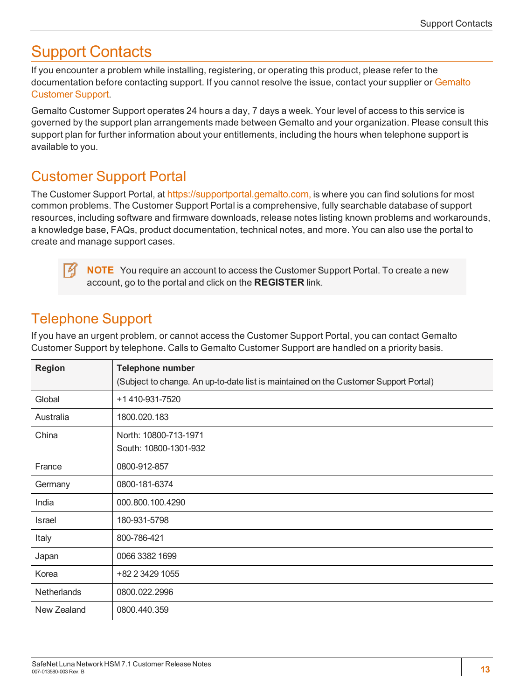# <span id="page-12-0"></span>Support Contacts

If you encounter a problem while installing, registering, or operating this product, please refer to the documentation before contacting support. If you cannot resolve the issue, contact your supplier or [Gemalto](https://supportportal.gemalto.com/) [Customer](https://supportportal.gemalto.com/) Support.

Gemalto Customer Support operates 24 hours a day, 7 days a week. Your level of access to this service is governed by the support plan arrangements made between Gemalto and your organization. Please consult this support plan for further information about your entitlements, including the hours when telephone support is available to you.

#### <span id="page-12-1"></span>Customer Support Portal

The Customer Support Portal, at [https://supportportal.gemalto.com,](https://supportportal.gemalto.com/) is where you can find solutions for most common problems. The Customer Support Portal is a comprehensive, fully searchable database of support resources, including software and firmware downloads, release notes listing known problems and workarounds, a knowledge base, FAQs, product documentation, technical notes, and more. You can also use the portal to create and manage support cases.

**NOTE** You require an account to access the Customer Support Portal. To create a new account, go to the portal and click on the **REGISTER** link.

### <span id="page-12-2"></span>Telephone Support

If you have an urgent problem, or cannot access the Customer Support Portal, you can contact Gemalto Customer Support by telephone. Calls to Gemalto Customer Support are handled on a priority basis.

| <b>Region</b> | <b>Telephone number</b>                                                              |  |  |
|---------------|--------------------------------------------------------------------------------------|--|--|
|               | (Subject to change. An up-to-date list is maintained on the Customer Support Portal) |  |  |
| Global        | +1 410-931-7520                                                                      |  |  |
| Australia     | 1800.020.183                                                                         |  |  |
| China         | North: 10800-713-1971                                                                |  |  |
|               | South: 10800-1301-932                                                                |  |  |
| France        | 0800-912-857                                                                         |  |  |
| Germany       | 0800-181-6374                                                                        |  |  |
| India         | 000.800.100.4290                                                                     |  |  |
| <b>Israel</b> | 180-931-5798                                                                         |  |  |
| Italy         | 800-786-421                                                                          |  |  |
| Japan         | 0066 3382 1699                                                                       |  |  |
| Korea         | +82 2 3429 1055                                                                      |  |  |
| Netherlands   | 0800.022.2996                                                                        |  |  |
| New Zealand   | 0800.440.359                                                                         |  |  |